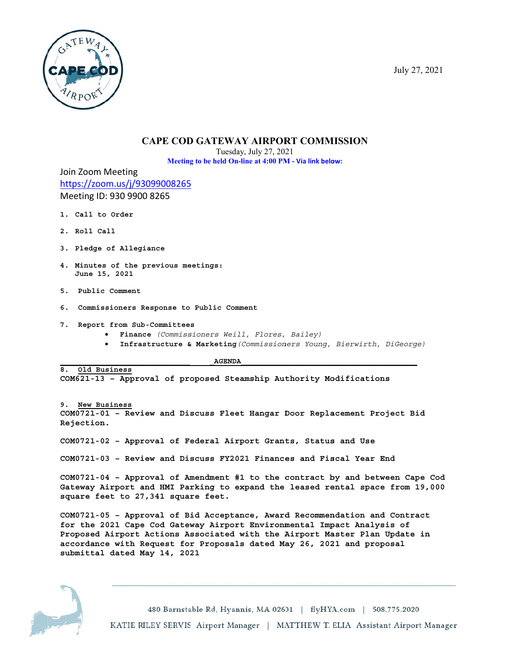

## **CAPE COD GATEWAY AIRPORT COMMISSION**

Tuesday, July 27, 2021 Meeting to be held On-line at 4:00 PM - Via link below:

Join Zoom Meeting https://zoom.us/j/93099008265 Meeting ID: 930 9900 8265

- 1. Call to Order
- 2. Roll Call
- 3. Pledge of Allegiance
- 4. Minutes of the previous meetings: June 15, 2021
- 5. Public Comment
- 6. Commissioners Response to Public Comment
- 7. Report from Sub-Committees
	- · Finance (Commissioners Weill, Flores, Bailey)
	- Infrastructure & Marketing (Commissioners Young, Bierwirth, DiGeorge)

**AGENDA** 

8. Old Business COM621-13 - Approval of proposed Steamship Authority Modifications

9. New Business COM0721-01 - Review and Discuss Fleet Hangar Door Replacement Project Bid Rejection.

COM0721-02 - Approval of Federal Airport Grants, Status and Use

COM0721-03 - Review and Discuss FY2021 Finances and Fiscal Year End

COM0721-04 - Approval of Amendment #1 to the contract by and between Cape Cod Gateway Airport and HMI Parking to expand the leased rental space from 19,000 square feet to 27,341 square feet.

COM0721-05 - Approval of Bid Acceptance, Award Recommendation and Contract for the 2021 Cape Cod Gateway Airport Environmental Impact Analysis of Proposed Airport Actions Associated with the Airport Master Plan Update in accordance with Request for Proposals dated May 26, 2021 and proposal submittal dated May 14, 2021



480 Barnstable Rd, Hyannis, MA 02601 | flyHYA.com | 508.775.2020 KATIE RILEY SERVIS Airport Manager | MATTHEW T. ELIA Assistant Airport Manager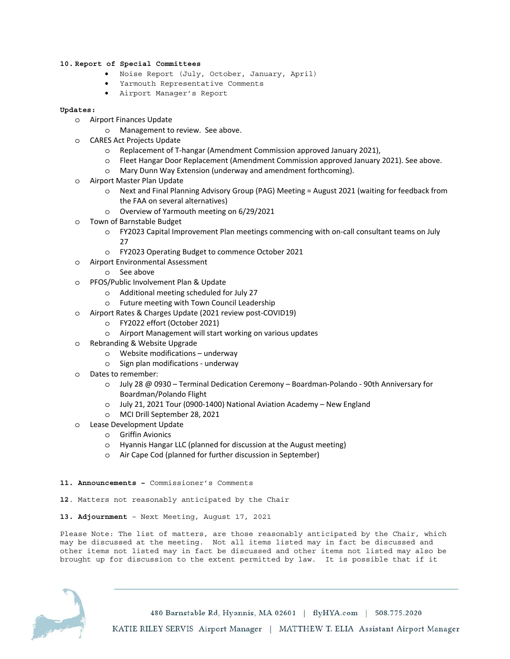## **10. Report of Special Committees**

- Noise Report (July, October, January, April)
- Yarmouth Representative Comments
- Airport Manager's Report

## **Updates:**

- o Airport Finances Update
	- o Management to review. See above.
- o CARES Act Projects Update
	- o Replacement of T-hangar (Amendment Commission approved January 2021),
	- o Fleet Hangar Door Replacement (Amendment Commission approved January 2021). See above.
	- o Mary Dunn Way Extension (underway and amendment forthcoming).
- o Airport Master Plan Update
	- o Next and Final Planning Advisory Group (PAG) Meeting = August 2021 (waiting for feedback from the FAA on several alternatives)
	- o Overview of Yarmouth meeting on 6/29/2021
- Town of Barnstable Budget
	- o FY2023 Capital Improvement Plan meetings commencing with on-call consultant teams on July 27
	- o FY2023 Operating Budget to commence October 2021
- o Airport Environmental Assessment
	- o See above
- o PFOS/Public Involvement Plan & Update
	- o Additional meeting scheduled for July 27
	- o Future meeting with Town Council Leadership
- o Airport Rates & Charges Update (2021 review post-COVID19)
	- o FY2022 effort (October 2021)
	- o Airport Management will start working on various updates
- o Rebranding & Website Upgrade
	- o Website modifications underway
	- o Sign plan modifications underway
- o Dates to remember:
	- o July 28 @ 0930 Terminal Dedication Ceremony Boardman-Polando 90th Anniversary for Boardman/Polando Flight
	- o July 21, 2021 Tour (0900-1400) National Aviation Academy New England
	- o MCI Drill September 28, 2021
- o Lease Development Update
	- o Griffin Avionics
	- o Hyannis Hangar LLC (planned for discussion at the August meeting)
	- o Air Cape Cod (planned for further discussion in September)
- **11. Announcements** Commissioner's Comments
- **12**. Matters not reasonably anticipated by the Chair
- **13. Adjournment** Next Meeting, August 17, 2021

Please Note: The list of matters, are those reasonably anticipated by the Chair, which may be discussed at the meeting. Not all items listed may in fact be discussed and other items not listed may in fact be discussed and other items not listed may also be brought up for discussion to the extent permitted by law. It is possible that if it



480 Barnstable Rd, Hyannis, MA 02601 | flyHYA.com | 508.775.2020 KATIE RILEY SERVIS Airport Manager | MATTHEW T. ELIA Assistant Airport Manager